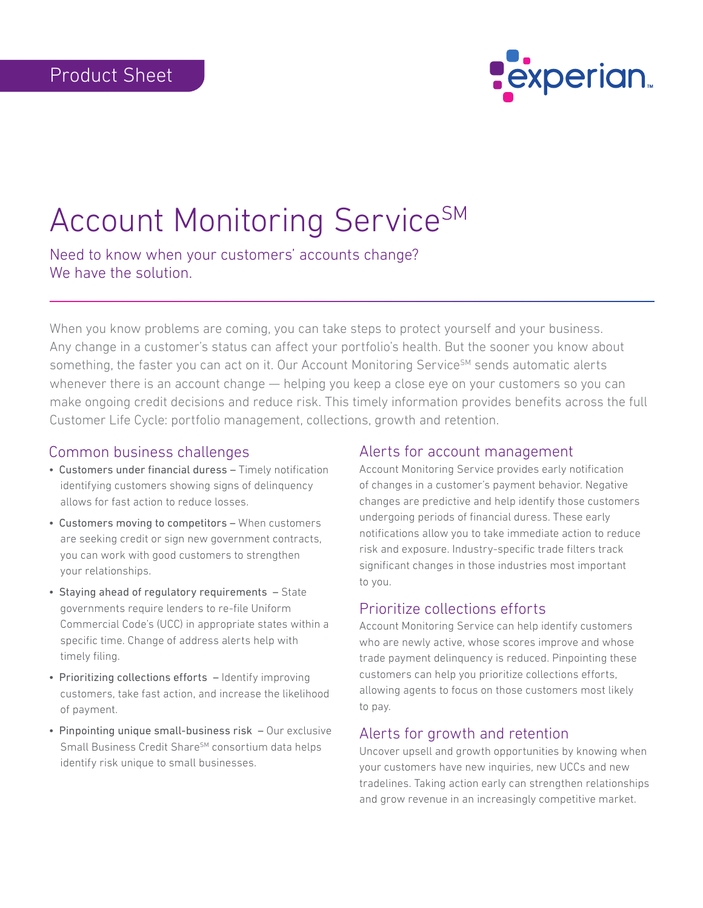

# Account Monitoring Service<sup>SM</sup>

Need to know when your customers' accounts change? We have the solution

When you know problems are coming, you can take steps to protect yourself and your business. Any change in a customer's status can affect your portfolio's health. But the sooner you know about something, the faster you can act on it. Our Account Monitoring Service<sup>SM</sup> sends automatic alerts whenever there is an account change — helping you keep a close eye on your customers so you can make ongoing credit decisions and reduce risk. This timely information provides benefits across the full Customer Life Cycle: portfolio management, collections, growth and retention.

#### Common business challenges

- Customers under financial duress Timely notification identifying customers showing signs of delinquency allows for fast action to reduce losses.
- Customers moving to competitors When customers are seeking credit or sign new government contracts, you can work with good customers to strengthen your relationships.
- Staying ahead of regulatory requirements State governments require lenders to re-file Uniform Commercial Code's (UCC) in appropriate states within a specific time. Change of address alerts help with timely filing.
- Prioritizing collections efforts Identify improving customers, take fast action, and increase the likelihood of payment.
- Pinpointing unique small-business risk Our exclusive Small Business Credit Share<sup>SM</sup> consortium data helps identify risk unique to small businesses.

#### Alerts for account management

Account Monitoring Service provides early notification of changes in a customer's payment behavior. Negative changes are predictive and help identify those customers undergoing periods of financial duress. These early notifications allow you to take immediate action to reduce risk and exposure. Industry-specific trade filters track significant changes in those industries most important to you.

## Prioritize collections efforts

Account Monitoring Service can help identify customers who are newly active, whose scores improve and whose trade payment delinquency is reduced. Pinpointing these customers can help you prioritize collections efforts, allowing agents to focus on those customers most likely to pay.

## Alerts for growth and retention

Uncover upsell and growth opportunities by knowing when your customers have new inquiries, new UCCs and new tradelines. Taking action early can strengthen relationships and grow revenue in an increasingly competitive market.